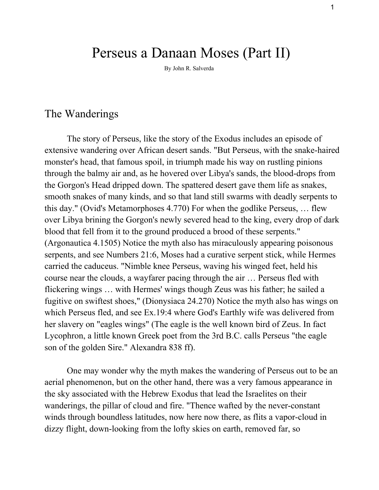# Perseus a Danaan Moses (Part II)

By John R. Salverda

## The Wanderings

The story of Perseus, like the story of the Exodus includes an episode of extensive wandering over African desert sands. "But Perseus, with the snake-haired monster's head, that famous spoil, in triumph made his way on rustling pinions through the balmy air and, as he hovered over Libya's sands, the blood-drops from the Gorgon's Head dripped down. The spattered desert gave them life as snakes, smooth snakes of many kinds, and so that land still swarms with deadly serpents to this day." (Ovid's Metamorphoses 4.770) For when the godlike Perseus, … flew over Libya brining the Gorgon's newly severed head to the king, every drop of dark blood that fell from it to the ground produced a brood of these serpents." (Argonautica 4.1505) Notice the myth also has miraculously appearing poisonous serpents, and see Numbers 21:6, Moses had a curative serpent stick, while Hermes carried the caduceus. "Nimble knee Perseus, waving his winged feet, held his course near the clouds, a wayfarer pacing through the air … Perseus fled with flickering wings … with Hermes' wings though Zeus was his father; he sailed a fugitive on swiftest shoes," (Dionysiaca 24.270) Notice the myth also has wings on which Perseus fled, and see Ex.19:4 where God's Earthly wife was delivered from her slavery on "eagles wings" (The eagle is the well known bird of Zeus. In fact Lycophron, a little known Greek poet from the 3rd B.C. calls Perseus "the eagle son of the golden Sire." Alexandra 838 ff).

One may wonder why the myth makes the wandering of Perseus out to be an aerial phenomenon, but on the other hand, there was a very famous appearance in the sky associated with the Hebrew Exodus that lead the Israelites on their wanderings, the pillar of cloud and fire. "Thence wafted by the never-constant winds through boundless latitudes, now here now there, as flits a vapor-cloud in dizzy flight, down-looking from the lofty skies on earth, removed far, so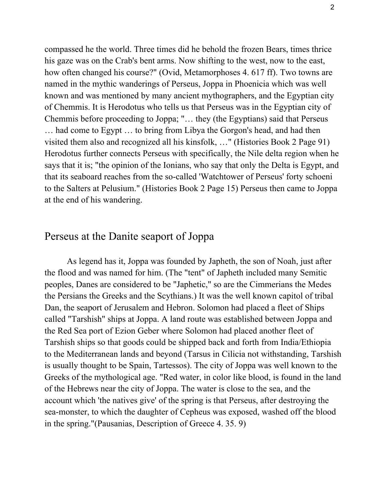compassed he the world. Three times did he behold the frozen Bears, times thrice his gaze was on the Crab's bent arms. Now shifting to the west, now to the east, how often changed his course?" (Ovid, Metamorphoses 4. 617 ff). Two towns are named in the mythic wanderings of Perseus, Joppa in Phoenicia which was well known and was mentioned by many ancient mythographers, and the Egyptian city of Chemmis. It is Herodotus who tells us that Perseus was in the Egyptian city of Chemmis before proceeding to Joppa; "… they (the Egyptians) said that Perseus … had come to Egypt … to bring from Libya the Gorgon's head, and had then visited them also and recognized all his kinsfolk, …" (Histories Book 2 Page 91) Herodotus further connects Perseus with specifically, the Nile delta region when he says that it is; "the opinion of the Ionians, who say that only the Delta is Egypt, and that its seaboard reaches from the so-called 'Watchtower of Perseus' forty schoeni to the Salters at Pelusium." (Histories Book 2 Page 15) Perseus then came to Joppa at the end of his wandering.

#### Perseus at the Danite seaport of Joppa

As legend has it, Joppa was founded by Japheth, the son of Noah, just after the flood and was named for him. (The "tent" of Japheth included many Semitic peoples, Danes are considered to be "Japhetic," so are the Cimmerians the Medes the Persians the Greeks and the Scythians.) It was the well known capitol of tribal Dan, the seaport of Jerusalem and Hebron. Solomon had placed a fleet of Ships called "Tarshish" ships at Joppa. A land route was established between Joppa and the Red Sea port of Ezion Geber where Solomon had placed another fleet of Tarshish ships so that goods could be shipped back and forth from India/Ethiopia to the Mediterranean lands and beyond (Tarsus in Cilicia not withstanding, Tarshish is usually thought to be Spain, Tartessos). The city of Joppa was well known to the Greeks of the mythological age. "Red water, in color like blood, is found in the land of the Hebrews near the city of Joppa. The water is close to the sea, and the account which 'the natives give' of the spring is that Perseus, after destroying the seamonster, to which the daughter of Cepheus was exposed, washed off the blood in the spring."(Pausanias, Description of Greece 4. 35. 9)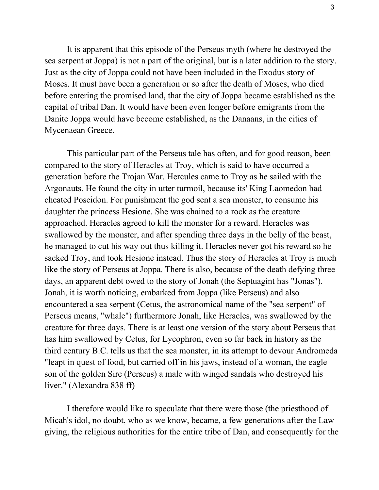It is apparent that this episode of the Perseus myth (where he destroyed the sea serpent at Joppa) is not a part of the original, but is a later addition to the story. Just as the city of Joppa could not have been included in the Exodus story of Moses. It must have been a generation or so after the death of Moses, who died before entering the promised land, that the city of Joppa became established as the capital of tribal Dan. It would have been even longer before emigrants from the Danite Joppa would have become established, as the Danaans, in the cities of Mycenaean Greece.

This particular part of the Perseus tale has often, and for good reason, been compared to the story of Heracles at Troy, which is said to have occurred a generation before the Trojan War. Hercules came to Troy as he sailed with the Argonauts. He found the city in utter turmoil, because its' King Laomedon had cheated Poseidon. For punishment the god sent a sea monster, to consume his daughter the princess Hesione. She was chained to a rock as the creature approached. Heracles agreed to kill the monster for a reward. Heracles was swallowed by the monster, and after spending three days in the belly of the beast, he managed to cut his way out thus killing it. Heracles never got his reward so he sacked Troy, and took Hesione instead. Thus the story of Heracles at Troy is much like the story of Perseus at Joppa. There is also, because of the death defying three days, an apparent debt owed to the story of Jonah (the Septuagint has "Jonas"). Jonah, it is worth noticing, embarked from Joppa (like Perseus) and also encountered a sea serpent (Cetus, the astronomical name of the "sea serpent" of Perseus means, "whale") furthermore Jonah, like Heracles, was swallowed by the creature for three days. There is at least one version of the story about Perseus that has him swallowed by Cetus, for Lycophron, even so far back in history as the third century B.C. tells us that the sea monster, in its attempt to devour Andromeda "leapt in quest of food, but carried off in his jaws, instead of a woman, the eagle son of the golden Sire (Perseus) a male with winged sandals who destroyed his liver." (Alexandra 838 ff)

I therefore would like to speculate that there were those (the priesthood of Micah's idol, no doubt, who as we know, became, a few generations after the Law giving, the religious authorities for the entire tribe of Dan, and consequently for the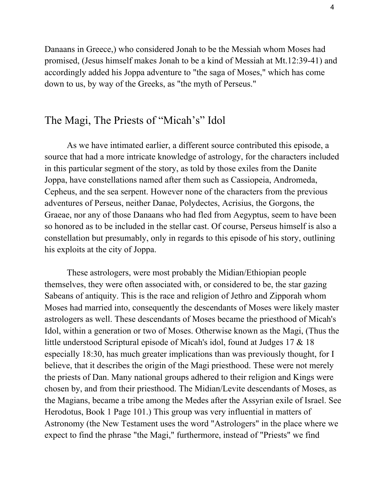Danaans in Greece,) who considered Jonah to be the Messiah whom Moses had promised, (Jesus himself makes Jonah to be a kind of Messiah at Mt.12:3941) and accordingly added his Joppa adventure to "the saga of Moses," which has come down to us, by way of the Greeks, as "the myth of Perseus."

### The Magi, The Priests of "Micah's" Idol

As we have intimated earlier, a different source contributed this episode, a source that had a more intricate knowledge of astrology, for the characters included in this particular segment of the story, as told by those exiles from the Danite Joppa, have constellations named after them such as Cassiopeia, Andromeda, Cepheus, and the sea serpent. However none of the characters from the previous adventures of Perseus, neither Danae, Polydectes, Acrisius, the Gorgons, the Graeae, nor any of those Danaans who had fled from Aegyptus, seem to have been so honored as to be included in the stellar cast. Of course, Perseus himself is also a constellation but presumably, only in regards to this episode of his story, outlining his exploits at the city of Joppa.

These astrologers, were most probably the Midian/Ethiopian people themselves, they were often associated with, or considered to be, the star gazing Sabeans of antiquity. This is the race and religion of Jethro and Zipporah whom Moses had married into, consequently the descendants of Moses were likely master astrologers as well. These descendants of Moses became the priesthood of Micah's Idol, within a generation or two of Moses. Otherwise known as the Magi, (Thus the little understood Scriptural episode of Micah's idol, found at Judges 17 & 18 especially 18:30, has much greater implications than was previously thought, for I believe, that it describes the origin of the Magi priesthood. These were not merely the priests of Dan. Many national groups adhered to their religion and Kings were chosen by, and from their priesthood. The Midian/Levite descendants of Moses, as the Magians, became a tribe among the Medes after the Assyrian exile of Israel. See Herodotus, Book 1 Page 101.) This group was very influential in matters of Astronomy (the New Testament uses the word "Astrologers" in the place where we expect to find the phrase "the Magi," furthermore, instead of "Priests" we find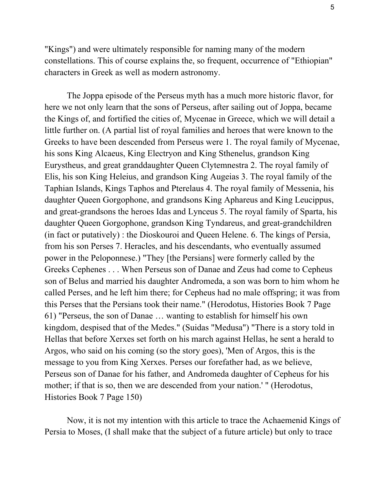"Kings") and were ultimately responsible for naming many of the modern constellations. This of course explains the, so frequent, occurrence of "Ethiopian" characters in Greek as well as modern astronomy.

The Joppa episode of the Perseus myth has a much more historic flavor, for here we not only learn that the sons of Perseus, after sailing out of Joppa, became the Kings of, and fortified the cities of, Mycenae in Greece, which we will detail a little further on. (A partial list of royal families and heroes that were known to the Greeks to have been descended from Perseus were 1. The royal family of Mycenae, his sons King Alcaeus, King Electryon and King Sthenelus, grandson King Eurystheus, and great granddaughter Queen Clytemnestra 2. The royal family of Elis, his son King Heleius, and grandson King Augeias 3. The royal family of the Taphian Islands, Kings Taphos and Pterelaus 4. The royal family of Messenia, his daughter Queen Gorgophone, and grandsons King Aphareus and King Leucippus, and great-grandsons the heroes Idas and Lynceus 5. The royal family of Sparta, his daughter Queen Gorgophone, grandson King Tyndareus, and great-grandchildren (in fact or putatively) : the Dioskouroi and Queen Helene. 6. The kings of Persia, from his son Perses 7. Heracles, and his descendants, who eventually assumed power in the Peloponnese.) "They [the Persians] were formerly called by the Greeks Cephenes . . . When Perseus son of Danae and Zeus had come to Cepheus son of Belus and married his daughter Andromeda, a son was born to him whom he called Perses, and he left him there; for Cepheus had no male offspring; it was from this Perses that the Persians took their name." (Herodotus, Histories Book 7 Page 61) "Perseus, the son of Danae … wanting to establish for himself his own kingdom, despised that of the Medes." (Suidas "Medusa") "There is a story told in Hellas that before Xerxes set forth on his march against Hellas, he sent a herald to Argos, who said on his coming (so the story goes), 'Men of Argos, this is the message to you from King Xerxes. Perses our forefather had, as we believe, Perseus son of Danae for his father, and Andromeda daughter of Cepheus for his mother; if that is so, then we are descended from your nation.' " (Herodotus, Histories Book 7 Page 150)

Now, it is not my intention with this article to trace the Achaemenid Kings of Persia to Moses, (I shall make that the subject of a future article) but only to trace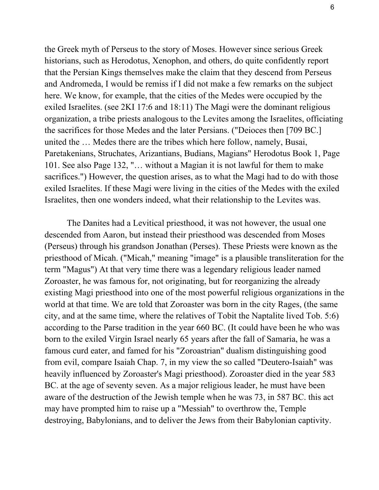the Greek myth of Perseus to the story of Moses. However since serious Greek historians, such as Herodotus, Xenophon, and others, do quite confidently report that the Persian Kings themselves make the claim that they descend from Perseus and Andromeda, I would be remiss if I did not make a few remarks on the subject here. We know, for example, that the cities of the Medes were occupied by the exiled Israelites. (see 2KI 17:6 and 18:11) The Magi were the dominant religious organization, a tribe priests analogous to the Levites among the Israelites, officiating the sacrifices for those Medes and the later Persians. ("Deioces then [709 BC.] united the … Medes there are the tribes which here follow, namely, Busai, Paretakenians, Struchates, Arizantians, Budians, Magians" Herodotus Book 1, Page 101. See also Page 132, "… without a Magian it is not lawful for them to make sacrifices.") However, the question arises, as to what the Magi had to do with those exiled Israelites. If these Magi were living in the cities of the Medes with the exiled Israelites, then one wonders indeed, what their relationship to the Levites was.

The Danites had a Levitical priesthood, it was not however, the usual one descended from Aaron, but instead their priesthood was descended from Moses (Perseus) through his grandson Jonathan (Perses). These Priests were known as the priesthood of Micah. ("Micah," meaning "image" is a plausible transliteration for the term "Magus") At that very time there was a legendary religious leader named Zoroaster, he was famous for, not originating, but for reorganizing the already existing Magi priesthood into one of the most powerful religious organizations in the world at that time. We are told that Zoroaster was born in the city Rages, (the same city, and at the same time, where the relatives of Tobit the Naptalite lived Tob. 5:6) according to the Parse tradition in the year 660 BC. (It could have been he who was born to the exiled Virgin Israel nearly 65 years after the fall of Samaria, he was a famous curd eater, and famed for his "Zoroastrian" dualism distinguishing good from evil, compare Isaiah Chap. 7, in my view the so called "Deutero-Isaiah" was heavily influenced by Zoroaster's Magi priesthood). Zoroaster died in the year 583 BC. at the age of seventy seven. As a major religious leader, he must have been aware of the destruction of the Jewish temple when he was 73, in 587 BC. this act may have prompted him to raise up a "Messiah" to overthrow the, Temple destroying, Babylonians, and to deliver the Jews from their Babylonian captivity.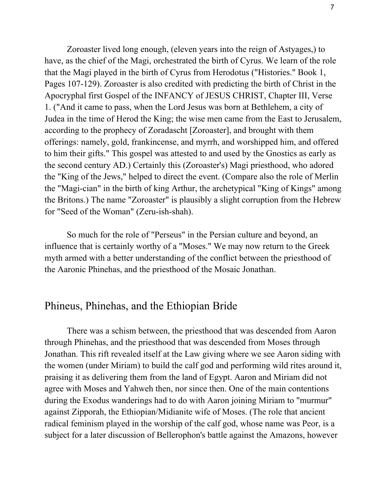Zoroaster lived long enough, (eleven years into the reign of Astyages,) to have, as the chief of the Magi, orchestrated the birth of Cyrus. We learn of the role that the Magi played in the birth of Cyrus from Herodotus ("Histories." Book 1, Pages 107-129). Zoroaster is also credited with predicting the birth of Christ in the Apocryphal first Gospel of the INFANCY of JESUS CHRIST, Chapter III, Verse 1. ("And it came to pass, when the Lord Jesus was born at Bethlehem, a city of Judea in the time of Herod the King; the wise men came from the East to Jerusalem, according to the prophecy of Zoradascht [Zoroaster], and brought with them offerings: namely, gold, frankincense, and myrrh, and worshipped him, and offered to him their gifts." This gospel was attested to and used by the Gnostics as early as the second century AD.) Certainly this (Zoroaster's) Magi priesthood, who adored the "King of the Jews," helped to direct the event. (Compare also the role of Merlin the "Magi-cian" in the birth of king Arthur, the archetypical "King of Kings" among the Britons.) The name "Zoroaster" is plausibly a slight corruption from the Hebrew for "Seed of the Woman" (Zeru-ish-shah).

So much for the role of "Perseus" in the Persian culture and beyond, an influence that is certainly worthy of a "Moses." We may now return to the Greek myth armed with a better understanding of the conflict between the priesthood of the Aaronic Phinehas, and the priesthood of the Mosaic Jonathan.

#### Phineus, Phinehas, and the Ethiopian Bride

There was a schism between, the priesthood that was descended from Aaron through Phinehas, and the priesthood that was descended from Moses through Jonathan. This rift revealed itself at the Law giving where we see Aaron siding with the women (under Miriam) to build the calf god and performing wild rites around it, praising it as delivering them from the land of Egypt. Aaron and Miriam did not agree with Moses and Yahweh then, nor since then. One of the main contentions during the Exodus wanderings had to do with Aaron joining Miriam to "murmur" against Zipporah, the Ethiopian/Midianite wife of Moses. (The role that ancient radical feminism played in the worship of the calf god, whose name was Peor, is a subject for a later discussion of Bellerophon's battle against the Amazons, however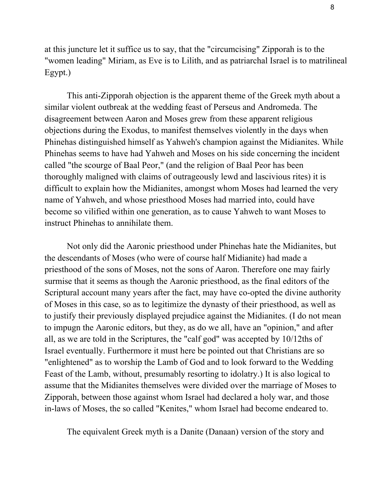at this juncture let it suffice us to say, that the "circumcising" Zipporah is to the "women leading" Miriam, as Eve is to Lilith, and as patriarchal Israel is to matrilineal Egypt.)

This anti-Zipporah objection is the apparent theme of the Greek myth about a similar violent outbreak at the wedding feast of Perseus and Andromeda. The disagreement between Aaron and Moses grew from these apparent religious objections during the Exodus, to manifest themselves violently in the days when Phinehas distinguished himself as Yahweh's champion against the Midianites. While Phinehas seems to have had Yahweh and Moses on his side concerning the incident called "the scourge of Baal Peor," (and the religion of Baal Peor has been thoroughly maligned with claims of outrageously lewd and lascivious rites) it is difficult to explain how the Midianites, amongst whom Moses had learned the very name of Yahweh, and whose priesthood Moses had married into, could have become so vilified within one generation, as to cause Yahweh to want Moses to instruct Phinehas to annihilate them.

Not only did the Aaronic priesthood under Phinehas hate the Midianites, but the descendants of Moses (who were of course half Midianite) had made a priesthood of the sons of Moses, not the sons of Aaron. Therefore one may fairly surmise that it seems as though the Aaronic priesthood, as the final editors of the Scriptural account many years after the fact, may have co-opted the divine authority of Moses in this case, so as to legitimize the dynasty of their priesthood, as well as to justify their previously displayed prejudice against the Midianites. (I do not mean to impugn the Aaronic editors, but they, as do we all, have an "opinion," and after all, as we are told in the Scriptures, the "calf god" was accepted by 10/12ths of Israel eventually. Furthermore it must here be pointed out that Christians are so "enlightened" as to worship the Lamb of God and to look forward to the Wedding Feast of the Lamb, without, presumably resorting to idolatry.) It is also logical to assume that the Midianites themselves were divided over the marriage of Moses to Zipporah, between those against whom Israel had declared a holy war, and those in-laws of Moses, the so called "Kenites," whom Israel had become endeared to.

The equivalent Greek myth is a Danite (Danaan) version of the story and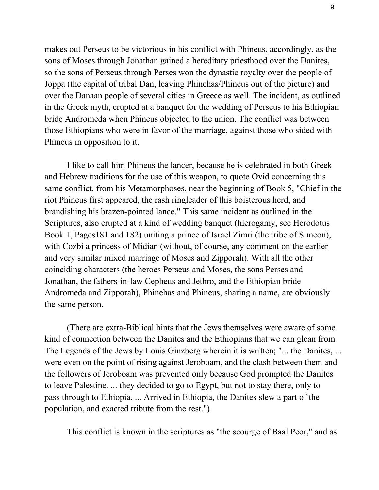makes out Perseus to be victorious in his conflict with Phineus, accordingly, as the sons of Moses through Jonathan gained a hereditary priesthood over the Danites, so the sons of Perseus through Perses won the dynastic royalty over the people of Joppa (the capital of tribal Dan, leaving Phinehas/Phineus out of the picture) and over the Danaan people of several cities in Greece as well. The incident, as outlined in the Greek myth, erupted at a banquet for the wedding of Perseus to his Ethiopian bride Andromeda when Phineus objected to the union. The conflict was between those Ethiopians who were in favor of the marriage, against those who sided with Phineus in opposition to it.

I like to call him Phineus the lancer, because he is celebrated in both Greek and Hebrew traditions for the use of this weapon, to quote Ovid concerning this same conflict, from his Metamorphoses, near the beginning of Book 5, "Chief in the riot Phineus first appeared, the rash ringleader of this boisterous herd, and brandishing his brazen-pointed lance." This same incident as outlined in the Scriptures, also erupted at a kind of wedding banquet (hierogamy, see Herodotus Book 1, Pages181 and 182) uniting a prince of Israel Zimri (the tribe of Simeon), with Cozbi a princess of Midian (without, of course, any comment on the earlier and very similar mixed marriage of Moses and Zipporah). With all the other coinciding characters (the heroes Perseus and Moses, the sons Perses and Jonathan, the fathers-in-law Cepheus and Jethro, and the Ethiopian bride Andromeda and Zipporah), Phinehas and Phineus, sharing a name, are obviously the same person.

(There are extra-Biblical hints that the Jews themselves were aware of some kind of connection between the Danites and the Ethiopians that we can glean from The Legends of the Jews by Louis Ginzberg wherein it is written; "... the Danites, ... were even on the point of rising against Jeroboam, and the clash between them and the followers of Jeroboam was prevented only because God prompted the Danites to leave Palestine. ... they decided to go to Egypt, but not to stay there, only to pass through to Ethiopia. ... Arrived in Ethiopia, the Danites slew a part of the population, and exacted tribute from the rest.")

This conflict is known in the scriptures as "the scourge of Baal Peor," and as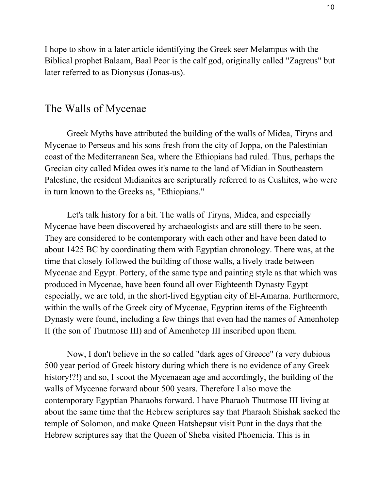I hope to show in a later article identifying the Greek seer Melampus with the Biblical prophet Balaam, Baal Peor is the calf god, originally called "Zagreus" but later referred to as Dionysus (Jonas-us).

#### The Walls of Mycenae

Greek Myths have attributed the building of the walls of Midea, Tiryns and Mycenae to Perseus and his sons fresh from the city of Joppa, on the Palestinian coast of the Mediterranean Sea, where the Ethiopians had ruled. Thus, perhaps the Grecian city called Midea owes it's name to the land of Midian in Southeastern Palestine, the resident Midianites are scripturally referred to as Cushites, who were in turn known to the Greeks as, "Ethiopians."

Let's talk history for a bit. The walls of Tiryns, Midea, and especially Mycenae have been discovered by archaeologists and are still there to be seen. They are considered to be contemporary with each other and have been dated to about 1425 BC by coordinating them with Egyptian chronology. There was, at the time that closely followed the building of those walls, a lively trade between Mycenae and Egypt. Pottery, of the same type and painting style as that which was produced in Mycenae, have been found all over Eighteenth Dynasty Egypt especially, we are told, in the short-lived Egyptian city of El-Amarna. Furthermore, within the walls of the Greek city of Mycenae, Egyptian items of the Eighteenth Dynasty were found, including a few things that even had the names of Amenhotep II (the son of Thutmose III) and of Amenhotep III inscribed upon them.

Now, I don't believe in the so called "dark ages of Greece" (a very dubious 500 year period of Greek history during which there is no evidence of any Greek history!?!) and so, I scoot the Mycenaean age and accordingly, the building of the walls of Mycenae forward about 500 years. Therefore I also move the contemporary Egyptian Pharaohs forward. I have Pharaoh Thutmose III living at about the same time that the Hebrew scriptures say that Pharaoh Shishak sacked the temple of Solomon, and make Queen Hatshepsut visit Punt in the days that the Hebrew scriptures say that the Queen of Sheba visited Phoenicia. This is in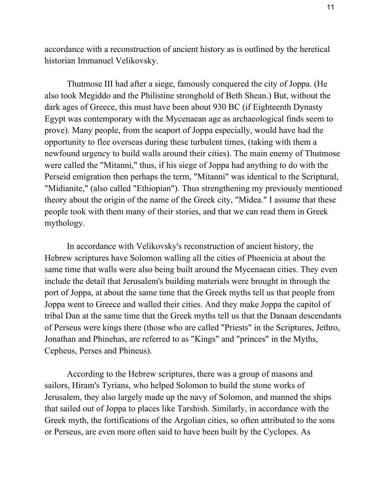accordance with a reconstruction of ancient history as is outlined by the heretical historian Immanuel Velikovsky.

Thutmose III had after a siege, famously conquered the city of Joppa. (He also took Megiddo and the Philistine stronghold of Beth Shean.) But, without the dark ages of Greece, this must have been about 930 BC (if Eighteenth Dynasty Egypt was contemporary with the Mycenaean age as archaeological finds seem to prove). Many people, from the seaport of Joppa especially, would have had the opportunity to flee overseas during these turbulent times, (taking with them a newfound urgency to build walls around their cities). The main enemy of Thutmose were called the "Mitanni," thus, if his siege of Joppa had anything to do with the Perseid emigration then perhaps the term, "Mitanni" was identical to the Scriptural, "Midianite," (also called "Ethiopian"). Thus strengthening my previously mentioned theory about the origin of the name of the Greek city, "Midea." I assume that these people took with them many of their stories, and that we can read them in Greek mythology.

In accordance with Velikovsky's reconstruction of ancient history, the Hebrew scriptures have Solomon walling all the cities of Phoenicia at about the same time that walls were also being built around the Mycenaean cities. They even include the detail that Jerusalem's building materials were brought in through the port of Joppa, at about the same time that the Greek myths tell us that people from Joppa went to Greece and walled their cities. And they make Joppa the capitol of tribal Dan at the same time that the Greek myths tell us that the Danaan descendants of Perseus were kings there (those who are called "Priests" in the Scriptures, Jethro, Jonathan and Phinehas, are referred to as "Kings" and "princes" in the Myths, Cepheus, Perses and Phineus).

According to the Hebrew scriptures, there was a group of masons and sailors, Hiram's Tyrians, who helped Solomon to build the stone works of Jerusalem, they also largely made up the navy of Solomon, and manned the ships that sailed out of Joppa to places like Tarshish. Similarly, in accordance with the Greek myth, the fortifications of the Argolian cities, so often attributed to the sons or Perseus, are even more often said to have been built by the Cyclopes. As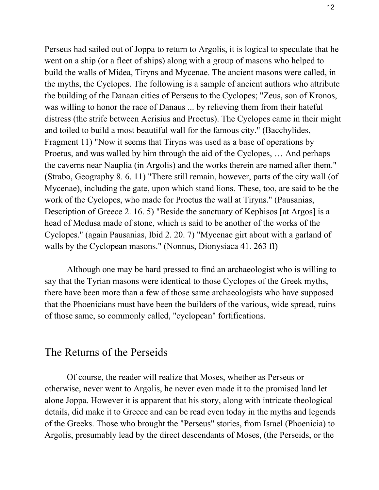Perseus had sailed out of Joppa to return to Argolis, it is logical to speculate that he went on a ship (or a fleet of ships) along with a group of masons who helped to build the walls of Midea, Tiryns and Mycenae. The ancient masons were called, in the myths, the Cyclopes. The following is a sample of ancient authors who attribute the building of the Danaan cities of Perseus to the Cyclopes; "Zeus, son of Kronos, was willing to honor the race of Danaus ... by relieving them from their hateful distress (the strife between Acrisius and Proetus). The Cyclopes came in their might and toiled to build a most beautiful wall for the famous city." (Bacchylides, Fragment 11) "Now it seems that Tiryns was used as a base of operations by Proetus, and was walled by him through the aid of the Cyclopes, … And perhaps the caverns near Nauplia (in Argolis) and the works therein are named after them." (Strabo, Geography 8. 6. 11) "There still remain, however, parts of the city wall (of Mycenae), including the gate, upon which stand lions. These, too, are said to be the work of the Cyclopes, who made for Proetus the wall at Tiryns." (Pausanias, Description of Greece 2. 16. 5) "Beside the sanctuary of Kephisos [at Argos] is a head of Medusa made of stone, which is said to be another of the works of the Cyclopes." (again Pausanias, Ibid 2. 20. 7) "Mycenae girt about with a garland of walls by the Cyclopean masons." (Nonnus, Dionysiaca 41. 263 ff)

Although one may be hard pressed to find an archaeologist who is willing to say that the Tyrian masons were identical to those Cyclopes of the Greek myths, there have been more than a few of those same archaeologists who have supposed that the Phoenicians must have been the builders of the various, wide spread, ruins of those same, so commonly called, "cyclopean" fortifications.

#### The Returns of the Perseids

Of course, the reader will realize that Moses, whether as Perseus or otherwise, never went to Argolis, he never even made it to the promised land let alone Joppa. However it is apparent that his story, along with intricate theological details, did make it to Greece and can be read even today in the myths and legends of the Greeks. Those who brought the "Perseus" stories, from Israel (Phoenicia) to Argolis, presumably lead by the direct descendants of Moses, (the Perseids, or the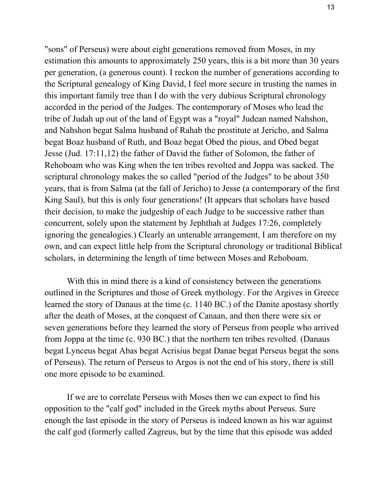"sons" of Perseus) were about eight generations removed from Moses, in my estimation this amounts to approximately 250 years, this is a bit more than 30 years per generation, (a generous count). I reckon the number of generations according to the Scriptural genealogy of King David, I feel more secure in trusting the names in this important family tree than I do with the very dubious Scriptural chronology accorded in the period of the Judges. The contemporary of Moses who lead the tribe of Judah up out of the land of Egypt was a "royal" Judean named Nahshon, and Nahshon begat Salma husband of Rahab the prostitute at Jericho, and Salma begat Boaz husband of Ruth, and Boaz begat Obed the pious, and Obed begat Jesse (Jud. 17:11,12) the father of David the father of Solomon, the father of Rehoboam who was King when the ten tribes revolted and Joppa was sacked. The scriptural chronology makes the so called "period of the Judges" to be about 350 years, that is from Salma (at the fall of Jericho) to Jesse (a contemporary of the first King Saul), but this is only four generations! (It appears that scholars have based their decision, to make the judgeship of each Judge to be successive rather than concurrent, solely upon the statement by Jephthah at Judges 17:26, completely ignoring the genealogies.) Clearly an untenable arrangement, I am therefore on my own, and can expect little help from the Scriptural chronology or traditional Biblical scholars, in determining the length of time between Moses and Rehoboam.

With this in mind there is a kind of consistency between the generations outlined in the Scriptures and those of Greek mythology. For the Argives in Greece learned the story of Danaus at the time (c. 1140 BC.) of the Danite apostasy shortly after the death of Moses, at the conquest of Canaan, and then there were six or seven generations before they learned the story of Perseus from people who arrived from Joppa at the time (c. 930 BC.) that the northern ten tribes revolted. (Danaus begat Lynceus begat Abas begat Acrisius begat Danae begat Perseus begat the sons of Perseus). The return of Perseus to Argos is not the end of his story, there is still one more episode to be examined.

If we are to correlate Perseus with Moses then we can expect to find his opposition to the "calf god" included in the Greek myths about Perseus. Sure enough the last episode in the story of Perseus is indeed known as his war against the calf god (formerly called Zagreus, but by the time that this episode was added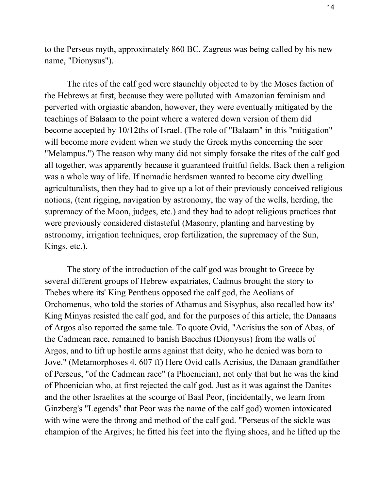to the Perseus myth, approximately 860 BC. Zagreus was being called by his new name, "Dionysus").

The rites of the calf god were staunchly objected to by the Moses faction of the Hebrews at first, because they were polluted with Amazonian feminism and perverted with orgiastic abandon, however, they were eventually mitigated by the teachings of Balaam to the point where a watered down version of them did become accepted by 10/12ths of Israel. (The role of "Balaam" in this "mitigation" will become more evident when we study the Greek myths concerning the seer "Melampus.") The reason why many did not simply forsake the rites of the calf god all together, was apparently because it guaranteed fruitful fields. Back then a religion was a whole way of life. If nomadic herdsmen wanted to become city dwelling agriculturalists, then they had to give up a lot of their previously conceived religious notions, (tent rigging, navigation by astronomy, the way of the wells, herding, the supremacy of the Moon, judges, etc.) and they had to adopt religious practices that were previously considered distasteful (Masonry, planting and harvesting by astronomy, irrigation techniques, crop fertilization, the supremacy of the Sun, Kings, etc.).

The story of the introduction of the calf god was brought to Greece by several different groups of Hebrew expatriates, Cadmus brought the story to Thebes where its' King Pentheus opposed the calf god, the Aeolians of Orchomenus, who told the stories of Athamus and Sisyphus, also recalled how its' King Minyas resisted the calf god, and for the purposes of this article, the Danaans of Argos also reported the same tale. To quote Ovid, "Acrisius the son of Abas, of the Cadmean race, remained to banish Bacchus (Dionysus) from the walls of Argos, and to lift up hostile arms against that deity, who he denied was born to Jove." (Metamorphoses 4. 607 ff) Here Ovid calls Acrisius, the Danaan grandfather of Perseus, "of the Cadmean race" (a Phoenician), not only that but he was the kind of Phoenician who, at first rejected the calf god. Just as it was against the Danites and the other Israelites at the scourge of Baal Peor, (incidentally, we learn from Ginzberg's "Legends" that Peor was the name of the calf god) women intoxicated with wine were the throng and method of the calf god. "Perseus of the sickle was champion of the Argives; he fitted his feet into the flying shoes, and he lifted up the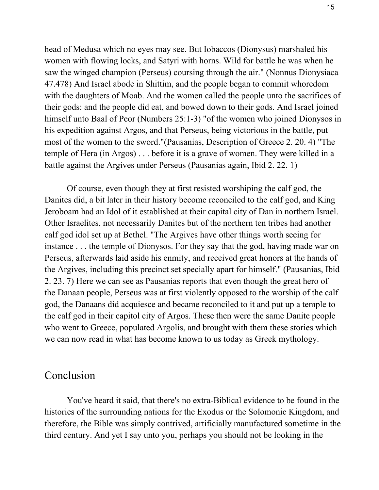head of Medusa which no eyes may see. But Iobaccos (Dionysus) marshaled his women with flowing locks, and Satyri with horns. Wild for battle he was when he saw the winged champion (Perseus) coursing through the air." (Nonnus Dionysiaca 47.478) And Israel abode in Shittim, and the people began to commit whoredom with the daughters of Moab. And the women called the people unto the sacrifices of their gods: and the people did eat, and bowed down to their gods. And Israel joined himself unto Baal of Peor (Numbers 25:1-3) "of the women who joined Dionysos in his expedition against Argos, and that Perseus, being victorious in the battle, put most of the women to the sword."(Pausanias, Description of Greece 2. 20. 4) "The temple of Hera (in Argos) . . . before it is a grave of women. They were killed in a battle against the Argives under Perseus (Pausanias again, Ibid 2. 22. 1)

Of course, even though they at first resisted worshiping the calf god, the Danites did, a bit later in their history become reconciled to the calf god, and King Jeroboam had an Idol of it established at their capital city of Dan in northern Israel. Other Israelites, not necessarily Danites but of the northern ten tribes had another calf god idol set up at Bethel. "The Argives have other things worth seeing for instance . . . the temple of Dionysos. For they say that the god, having made war on Perseus, afterwards laid aside his enmity, and received great honors at the hands of the Argives, including this precinct set specially apart for himself." (Pausanias, Ibid 2. 23. 7) Here we can see as Pausanias reports that even though the great hero of the Danaan people, Perseus was at first violently opposed to the worship of the calf god, the Danaans did acquiesce and became reconciled to it and put up a temple to the calf god in their capitol city of Argos. These then were the same Danite people who went to Greece, populated Argolis, and brought with them these stories which we can now read in what has become known to us today as Greek mythology.

#### Conclusion

You've heard it said, that there's no extra-Biblical evidence to be found in the histories of the surrounding nations for the Exodus or the Solomonic Kingdom, and therefore, the Bible was simply contrived, artificially manufactured sometime in the third century. And yet I say unto you, perhaps you should not be looking in the